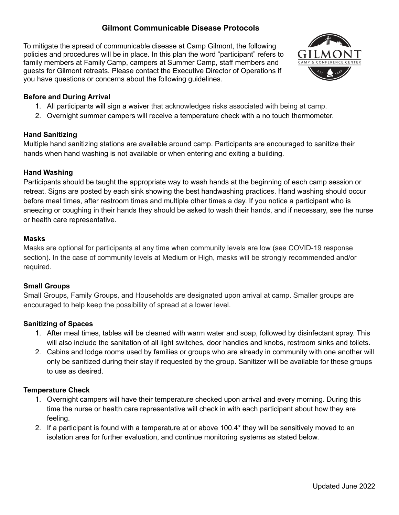# **Gilmont Communicable Disease Protocols**

To mitigate the spread of communicable disease at Camp Gilmont, the following policies and procedures will be in place. In this plan the word "participant" refers to family members at Family Camp, campers at Summer Camp, staff members and guests for Gilmont retreats. Please contact the Executive Director of Operations if you have questions or concerns about the following guidelines.



### **Before and During Arrival**

- 1. All participants will sign a waiver that acknowledges risks associated with being at camp.
- 2. Overnight summer campers will receive a temperature check with a no touch thermometer.

### **Hand Sanitizing**

Multiple hand sanitizing stations are available around camp. Participants are encouraged to sanitize their hands when hand washing is not available or when entering and exiting a building.

#### **Hand Washing**

Participants should be taught the appropriate way to wash hands at the beginning of each camp session or retreat. Signs are posted by each sink showing the best handwashing practices. Hand washing should occur before meal times, after restroom times and multiple other times a day. If you notice a participant who is sneezing or coughing in their hands they should be asked to wash their hands, and if necessary, see the nurse or health care representative.

#### **Masks**

Masks are optional for participants at any time when community levels are low (see COVID-19 response section). In the case of community levels at Medium or High, masks will be strongly recommended and/or required.

#### **Small Groups**

Small Groups, Family Groups, and Households are designated upon arrival at camp. Smaller groups are encouraged to help keep the possibility of spread at a lower level.

# **Sanitizing of Spaces**

- 1. After meal times, tables will be cleaned with warm water and soap, followed by disinfectant spray. This will also include the sanitation of all light switches, door handles and knobs, restroom sinks and toilets.
- 2. Cabins and lodge rooms used by families or groups who are already in community with one another will only be sanitized during their stay if requested by the group. Sanitizer will be available for these groups to use as desired.

# **Temperature Check**

- 1. Overnight campers will have their temperature checked upon arrival and every morning. During this time the nurse or health care representative will check in with each participant about how they are feeling.
- 2. If a participant is found with a temperature at or above 100.4\* they will be sensitively moved to an isolation area for further evaluation, and continue monitoring systems as stated below.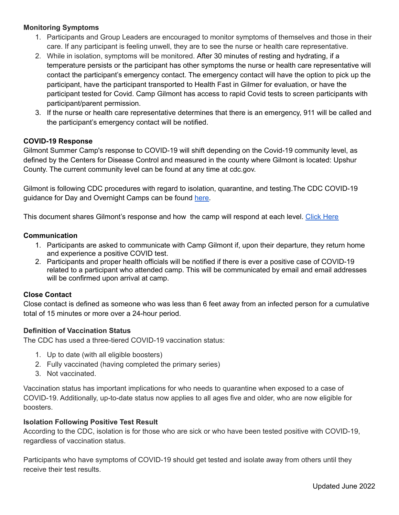# **Monitoring Symptoms**

- 1. Participants and Group Leaders are encouraged to monitor symptoms of themselves and those in their care. If any participant is feeling unwell, they are to see the nurse or health care representative.
- 2. While in isolation, symptoms will be monitored. After 30 minutes of resting and hydrating, if a temperature persists or the participant has other symptoms the nurse or health care representative will contact the participant's emergency contact. The emergency contact will have the option to pick up the participant, have the participant transported to Health Fast in Gilmer for evaluation, or have the participant tested for Covid. Camp Gilmont has access to rapid Covid tests to screen participants with participant/parent permission.
- 3. If the nurse or health care representative determines that there is an emergency, 911 will be called and the participant's emergency contact will be notified.

# **COVID-19 Response**

Gilmont Summer Camp's response to COVID-19 will shift depending on the Covid-19 community level, as defined by the Centers for Disease Control and measured in the county where Gilmont is located: Upshur County. The current community level can be found at any time at cdc.gov.

Gilmont is following CDC procedures with regard to isolation, quarantine, and testing.The CDC COVID-19 guidance for Day and Overnight Camps can be found [here.](https://www.acacamps.org/news-publications/blogs/camp-connection/cdc-releases-updated-covid-guidance-day-overnight-camps)

This document shares Gilmont's response and how the camp will respond at each level. Click [Here](https://www.gilmont.org/uploads/6/1/9/6/61965363/gilmont-summer-2022-covid-response.pdf)

# **Communication**

- 1. Participants are asked to communicate with Camp Gilmont if, upon their departure, they return home and experience a positive COVID test.
- 2. Participants and proper health officials will be notified if there is ever a positive case of COVID-19 related to a participant who attended camp. This will be communicated by email and email addresses will be confirmed upon arrival at camp.

# **Close Contact**

Close contact is defined as someone who was less than 6 feet away from an infected person for a cumulative total of 15 minutes or more over a 24-hour period.

# **Definition of Vaccination Status**

The CDC has used a three-tiered COVID-19 vaccination status:

- 1. Up to date (with all eligible boosters)
- 2. Fully vaccinated (having completed the primary series)
- 3. Not vaccinated.

Vaccination status has important implications for who needs to quarantine when exposed to a case of COVID-19. Additionally, up-to-date status now applies to all ages five and older, who are now eligible for boosters.

#### **Isolation Following Positive Test Result**

According to the CDC, isolation is for those who are sick or who have been tested positive with COVID-19, regardless of vaccination status.

Participants who have symptoms of COVID-19 should get tested and isolate away from others until they receive their test results.